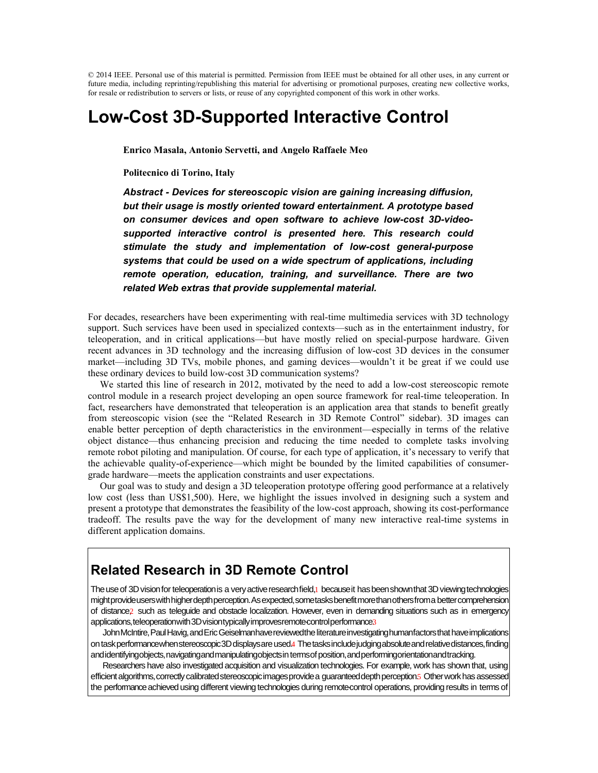© 2014 IEEE. Personal use of this material is permitted. Permission from IEEE must be obtained for all other uses, in any current or future media, including reprinting/republishing this material for advertising or promotional purposes, creating new collective works, for resale or redistribution to servers or lists, or reuse of any copyrighted component of this work in other works.

# **Low-Cost 3D-Supported Interactive Control**

**Enrico Masala, Antonio Servetti, and Angelo Raffaele Meo**

**Politecnico di Torino, Italy**

*Abstract - Devices for stereoscopic vision are gaining increasing diffusion, but their usage is mostly oriented toward entertainment. A prototype based on consumer devices and open software to achieve low-cost 3D-videosupported interactive control is presented here. This research could stimulate the study and implementation of low-cost general-purpose systems that could be used on a wide spectrum of applications, including remote operation, education, training, and surveillance. There are two related Web extras that provide supplemental material.*

For decades, researchers have been experimenting with real-time multimedia services with 3D technology support. Such services have been used in specialized contexts—such as in the entertainment industry, for teleoperation, and in critical applications—but have mostly relied on special-purpose hardware. Given recent advances in 3D technology and the increasing diffusion of low-cost 3D devices in the consumer market—including 3D TVs, mobile phones, and gaming devices—wouldn't it be great if we could use these ordinary devices to build low-cost 3D communication systems?

We started this line of research in 2012, motivated by the need to add a low-cost stereoscopic remote control module in a research project developing an open source framework for real-time teleoperation. In fact, researchers have demonstrated that teleoperation is an application area that stands to benefit greatly from stereoscopic vision (see the "Related Research in 3D Remote Control" sidebar). 3D images can enable better perception of depth characteristics in the environment—especially in terms of the relative object distance—thus enhancing precision and reducing the time needed to complete tasks involving remote robot piloting and manipulation. Of course, for each type of application, it's necessary to verify that the achievable quality-of-experience—which might be bounded by the limited capabilities of consumergrade hardware—meets the application constraints and user expectations.

Our goal was to study and design a 3D teleoperation prototype offering good performance at a relatively low cost (less than US\$1,500). Here, we highlight the issues involved in designing such a system and present a prototype that demonstrates the feasibility of the low-cost approach, showing its cost-performance tradeoff. The results pave the way for the development of many new interactive real-time systems in different application domains.

# **Related Research in 3D Remote Control**

The use of 3D vision for teleoperation is a very active research field,1 because it has been shown that 3D viewing technologies might provide users with higher depth perception. As expected, some tasks benefit more than others from a better comprehension of distance,2 such as teleguide and obstacle localization. However, even in demanding situations such as in emergency applications, teleoperation with 3D vision typically improves remote-control performance<sup>3</sup>

John McIntire, Paul Havig, and Eric Geiselman have reviewed the literature investigating human factors that have implications on task performance when stereoscopic 3D displays are used.4 The tasks include judging absolute and relative distances, finding and identifying objects, navigating and manipulating objects in terms of position, and performing orientation and tracking.

Researchers have also investigated acquisition and visualization technologies. For example, work has shown that, using efficient algorithms, correctly calibrated stereoscopic images provide a guaranteed depth perception.5 Other work has assessed the performance achieved using different viewing technologies during remote-control operations, providing results in terms of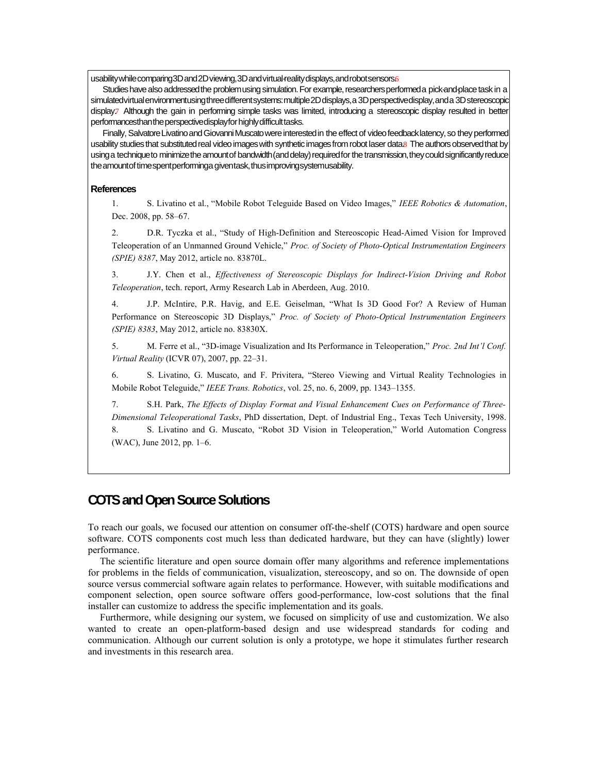usability while comparing 3D and 2D viewing, 3D and virtual-reality displays, and robot sensors.6

Studies have also addressed the problem using simulation. For example, researchers performed a pick-and-place task in a simulated virtual environment using three different systems: multiple 2D displays, a 3D perspective display, and a 3D stereoscopic display.7 Although the gain in performing simple tasks was limited, introducing a stereoscopic display resulted in better performances than the perspective display for highly difficult tasks.

Finally, Salvatore Livatino and Giovanni Muscato were interested in the effect of video feedback latency, so they performed usability studies that substituted real video images with synthetic images from robot laser data.8 The authors observed that by using a technique to minimize the amount of bandwidth (and delay) required for the transmission, they could significantly reduce the amount of time spent performing a given task, thus improving system usability.

#### **References**

1. S. Livatino et al., "Mobile Robot Teleguide Based on Video Images," *IEEE Robotics & Automation*, Dec. 2008, pp. 58–67.

2. D.R. Tyczka et al., "Study of High-Definition and Stereoscopic Head-Aimed Vision for Improved Teleoperation of an Unmanned Ground Vehicle," *Proc. of Society of Photo-Optical Instrumentation Engineers (SPIE) 8387*, May 2012, article no. 83870L.

3. J.Y. Chen et al., *Effectiveness of Stereoscopic Displays for Indirect-Vision Driving and Robot Teleoperation*, tech. report, Army Research Lab in Aberdeen, Aug. 2010.

4. J.P. McIntire, P.R. Havig, and E.E. Geiselman, "What Is 3D Good For? A Review of Human Performance on Stereoscopic 3D Displays," *Proc. of Society of Photo-Optical Instrumentation Engineers (SPIE) 8383*, May 2012, article no. 83830X.

5. M. Ferre et al., "3D-image Visualization and Its Performance in Teleoperation," *Proc. 2nd Int'l Conf. Virtual Reality* (ICVR 07), 2007, pp. 22–31.

6. S. Livatino, G. Muscato, and F. Privitera, "Stereo Viewing and Virtual Reality Technologies in Mobile Robot Teleguide," *IEEE Trans. Robotics*, vol. 25, no. 6, 2009, pp. 1343–1355.

7. S.H. Park, *The Effects of Display Format and Visual Enhancement Cues on Performance of Three-Dimensional Teleoperational Tasks*, PhD dissertation, Dept. of Industrial Eng., Texas Tech University, 1998. 8. S. Livatino and G. Muscato, "Robot 3D Vision in Teleoperation," World Automation Congress (WAC), June 2012, pp. 1–6.

# **COTS and Open Source Solutions**

To reach our goals, we focused our attention on consumer off-the-shelf (COTS) hardware and open source software. COTS components cost much less than dedicated hardware, but they can have (slightly) lower performance.

The scientific literature and open source domain offer many algorithms and reference implementations for problems in the fields of communication, visualization, stereoscopy, and so on. The downside of open source versus commercial software again relates to performance. However, with suitable modifications and component selection, open source software offers good-performance, low-cost solutions that the final installer can customize to address the specific implementation and its goals.

Furthermore, while designing our system, we focused on simplicity of use and customization. We also wanted to create an open-platform-based design and use widespread standards for coding and communication. Although our current solution is only a prototype, we hope it stimulates further research and investments in this research area.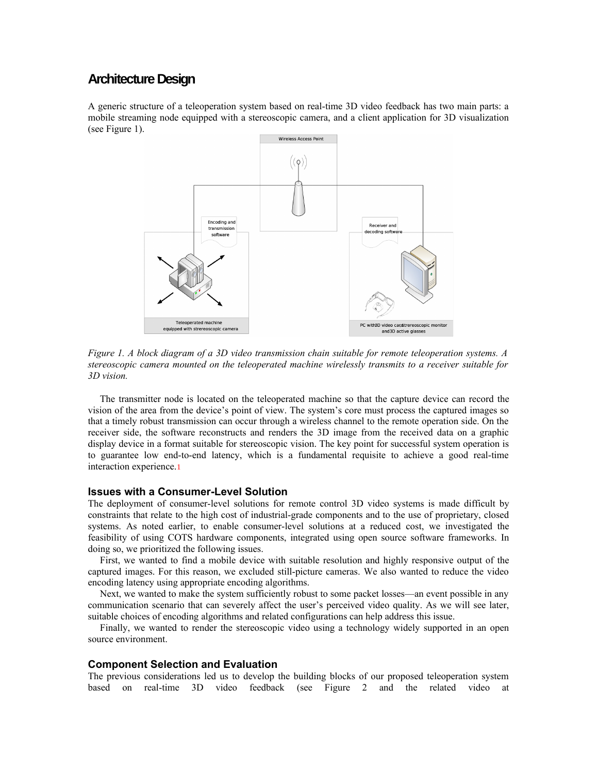# **Architecture Design**

A generic structure of a teleoperation system based on real-time 3D video feedback has two main parts: a mobile streaming node equipped with a stereoscopic camera, and a client application for 3D visualization (see Figure 1).



*Figure 1. A block diagram of a 3D video transmission chain suitable for remote teleoperation systems. A stereoscopic camera mounted on the teleoperated machine wirelessly transmits to a receiver suitable for 3D vision.*

The transmitter node is located on the teleoperated machine so that the capture device can record the vision of the area from the device's point of view. The system's core must process the captured images so that a timely robust transmission can occur through a wireless channel to the remote operation side. On the receiver side, the software reconstructs and renders the 3D image from the received data on a graphic display device in a format suitable for stereoscopic vision. The key point for successful system operation is to guarantee low end-to-end latency, which is a fundamental requisite to achieve a good real-time interaction experience.1

#### **Issues with a Consumer-Level Solution**

The deployment of consumer-level solutions for remote control 3D video systems is made difficult by constraints that relate to the high cost of industrial-grade components and to the use of proprietary, closed systems. As noted earlier, to enable consumer-level solutions at a reduced cost, we investigated the feasibility of using COTS hardware components, integrated using open source software frameworks. In doing so, we prioritized the following issues.

First, we wanted to find a mobile device with suitable resolution and highly responsive output of the captured images. For this reason, we excluded still-picture cameras. We also wanted to reduce the video encoding latency using appropriate encoding algorithms.

Next, we wanted to make the system sufficiently robust to some packet losses—an event possible in any communication scenario that can severely affect the user's perceived video quality. As we will see later, suitable choices of encoding algorithms and related configurations can help address this issue.

Finally, we wanted to render the stereoscopic video using a technology widely supported in an open source environment.

#### **Component Selection and Evaluation**

The previous considerations led us to develop the building blocks of our proposed teleoperation system based on real-time 3D video feedback (see Figure 2 and the related video at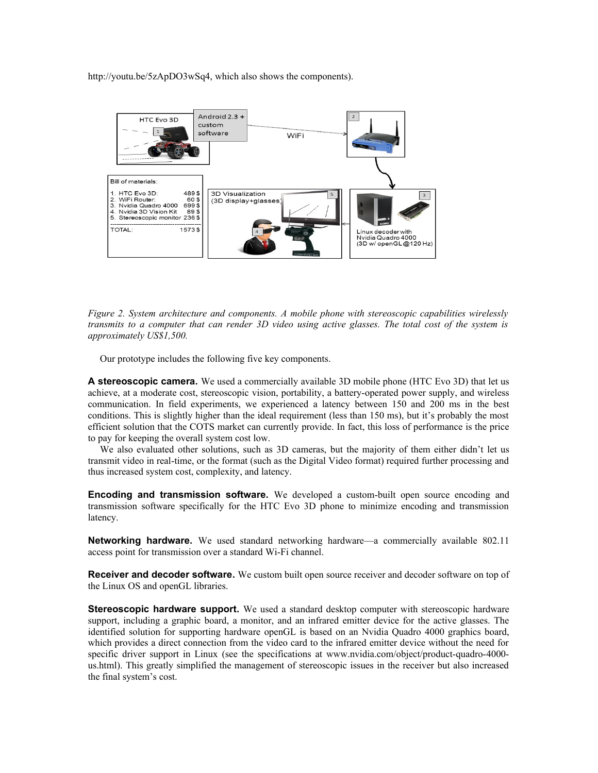http://youtu.be/5zApDO3wSq4, which also shows the components).



*Figure 2. System architecture and components. A mobile phone with stereoscopic capabilities wirelessly transmits to a computer that can render 3D video using active glasses. The total cost of the system is approximately US\$1,500.*

Our prototype includes the following five key components.

**A stereoscopic camera.** We used a commercially available 3D mobile phone (HTC Evo 3D) that let us achieve, at a moderate cost, stereoscopic vision, portability, a battery-operated power supply, and wireless communication. In field experiments, we experienced a latency between 150 and 200 ms in the best conditions. This is slightly higher than the ideal requirement (less than 150 ms), but it's probably the most efficient solution that the COTS market can currently provide. In fact, this loss of performance is the price to pay for keeping the overall system cost low.

We also evaluated other solutions, such as 3D cameras, but the majority of them either didn't let us transmit video in real-time, or the format (such as the Digital Video format) required further processing and thus increased system cost, complexity, and latency.

**Encoding and transmission software.** We developed a custom-built open source encoding and transmission software specifically for the HTC Evo 3D phone to minimize encoding and transmission latency.

**Networking hardware.** We used standard networking hardware—a commercially available 802.11 access point for transmission over a standard Wi-Fi channel.

**Receiver and decoder software.** We custom built open source receiver and decoder software on top of the Linux OS and openGL libraries.

**Stereoscopic hardware support.** We used a standard desktop computer with stereoscopic hardware support, including a graphic board, a monitor, and an infrared emitter device for the active glasses. The identified solution for supporting hardware openGL is based on an Nvidia Quadro 4000 graphics board, which provides a direct connection from the video card to the infrared emitter device without the need for specific driver support in Linux (see the specifications at www.nvidia.com/object/product-quadro-4000 us.html). This greatly simplified the management of stereoscopic issues in the receiver but also increased the final system's cost.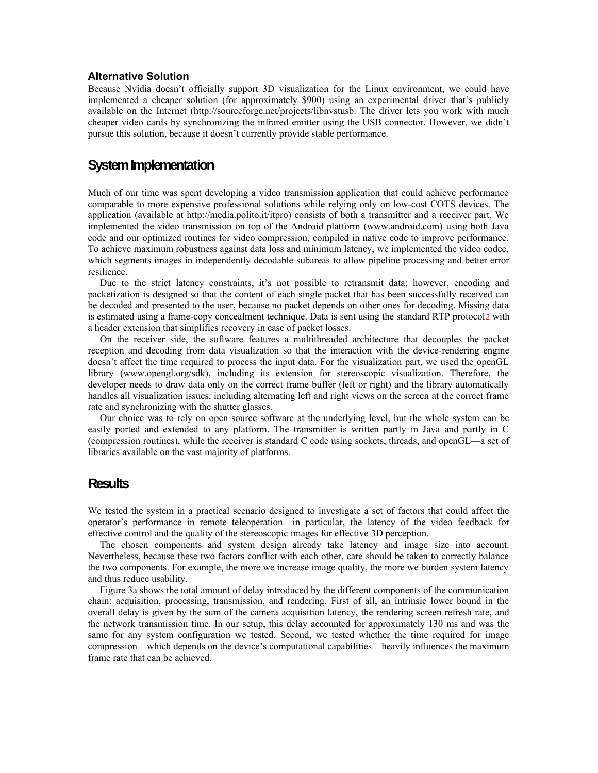#### **Alternative Solution**

Because Nvidia doesn't officially support 3D visualization for the Linux environment, we could have implemented a cheaper solution (for approximately \$900) using an experimental driver that's publicly available on the Internet (http://sourceforge.net/projects/libnvstusb. The driver lets you work with much cheaper video cards by synchronizing the infrared emitter using the USB connector. However, we didn't pursue this solution, because it doesn't currently provide stable performance.

### **System Implementation**

Much of our time was spent developing a video transmission application that could achieve performance comparable to more expensive professional solutions while relying only on low-cost COTS devices. The application (available at http://media.polito.it/itpro) consists of both a transmitter and a receiver part. We implemented the video transmission on top of the Android platform (www.android.com) using both Java code and our optimized routines for video compression, compiled in native code to improve performance. To achieve maximum robustness against data loss and minimum latency, we implemented the video codec, which segments images in independently decodable subareas to allow pipeline processing and better error resilience.

Due to the strict latency constraints, it's not possible to retransmit data; however, encoding and packetization is designed so that the content of each single packet that has been successfully received can be decoded and presented to the user, because no packet depends on other ones for decoding. Missing data is estimated using a frame-copy concealment technique. Data is sent using the standard RTP protocol2 with a header extension that simplifies recovery in case of packet losses.

On the receiver side, the software features a multithreaded architecture that decouples the packet reception and decoding from data visualization so that the interaction with the device-rendering engine doesn't affect the time required to process the input data. For the visualization part, we used the openGL library (www.opengl.org/sdk), including its extension for stereoscopic visualization. Therefore, the developer needs to draw data only on the correct frame buffer (left or right) and the library automatically handles all visualization issues, including alternating left and right views on the screen at the correct frame rate and synchronizing with the shutter glasses.

Our choice was to rely on open source software at the underlying level, but the whole system can be easily ported and extended to any platform. The transmitter is written partly in Java and partly in C (compression routines), while the receiver is standard C code using sockets, threads, and openGL—a set of libraries available on the vast majority of platforms.

## **Results**

We tested the system in a practical scenario designed to investigate a set of factors that could affect the operator's performance in remote teleoperation—in particular, the latency of the video feedback for effective control and the quality of the stereoscopic images for effective 3D perception.

The chosen components and system design already take latency and image size into account. Nevertheless, because these two factors conflict with each other, care should be taken to correctly balance the two components. For example, the more we increase image quality, the more we burden system latency and thus reduce usability.

Figure 3a shows the total amount of delay introduced by the different components of the communication chain: acquisition, processing, transmission, and rendering. First of all, an intrinsic lower bound in the overall delay is given by the sum of the camera acquisition latency, the rendering screen refresh rate, and the network transmission time. In our setup, this delay accounted for approximately 130 ms and was the same for any system configuration we tested. Second, we tested whether the time required for image compression—which depends on the device's computational capabilities—heavily influences the maximum frame rate that can be achieved.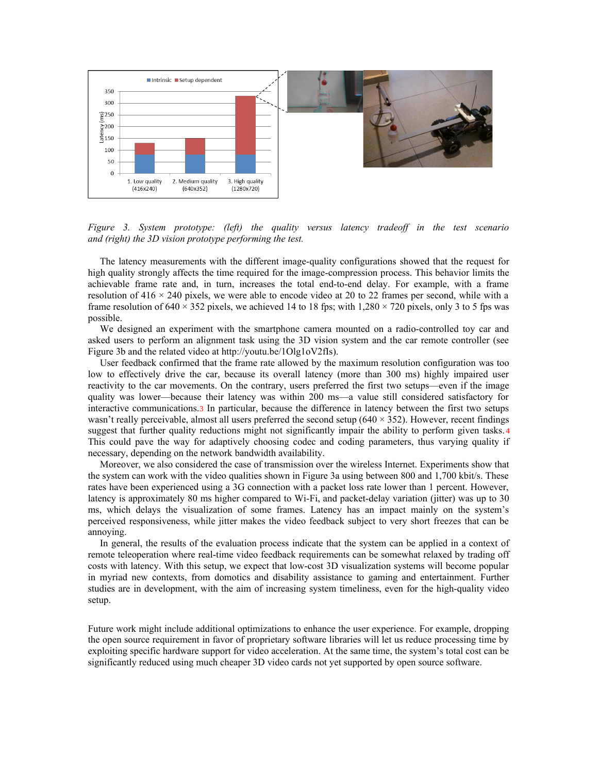

*Figure 3. System prototype: (left) the quality versus latency tradeoff in the test scenario and (right) the 3D vision prototype performing the test.*

The latency measurements with the different image-quality configurations showed that the request for high quality strongly affects the time required for the image-compression process. This behavior limits the achievable frame rate and, in turn, increases the total end-to-end delay. For example, with a frame resolution of  $416 \times 240$  pixels, we were able to encode video at 20 to 22 frames per second, while with a frame resolution of  $640 \times 352$  pixels, we achieved 14 to 18 fps; with 1,280  $\times$  720 pixels, only 3 to 5 fps was possible.

We designed an experiment with the smartphone camera mounted on a radio-controlled toy car and asked users to perform an alignment task using the 3D vision system and the car remote controller (see Figure 3b and the related video at http://youtu.be/1Olg1oV2fIs).

User feedback confirmed that the frame rate allowed by the maximum resolution configuration was too low to effectively drive the car, because its overall latency (more than 300 ms) highly impaired user reactivity to the car movements. On the contrary, users preferred the first two setups—even if the image quality was lower—because their latency was within 200 ms—a value still considered satisfactory for interactive communications.3 In particular, because the difference in latency between the first two setups wasn't really perceivable, almost all users preferred the second setup  $(640 \times 352)$ . However, recent findings suggest that further quality reductions might not significantly impair the ability to perform given tasks. 4 This could pave the way for adaptively choosing codec and coding parameters, thus varying quality if necessary, depending on the network bandwidth availability.

Moreover, we also considered the case of transmission over the wireless Internet. Experiments show that the system can work with the video qualities shown in Figure 3a using between 800 and 1,700 kbit/s. These rates have been experienced using a 3G connection with a packet loss rate lower than 1 percent. However, latency is approximately 80 ms higher compared to Wi-Fi, and packet-delay variation (jitter) was up to 30 ms, which delays the visualization of some frames. Latency has an impact mainly on the system's perceived responsiveness, while jitter makes the video feedback subject to very short freezes that can be annoying.

In general, the results of the evaluation process indicate that the system can be applied in a context of remote teleoperation where real-time video feedback requirements can be somewhat relaxed by trading off costs with latency. With this setup, we expect that low-cost 3D visualization systems will become popular in myriad new contexts, from domotics and disability assistance to gaming and entertainment. Further studies are in development, with the aim of increasing system timeliness, even for the high-quality video setup.

Future work might include additional optimizations to enhance the user experience. For example, dropping the open source requirement in favor of proprietary software libraries will let us reduce processing time by exploiting specific hardware support for video acceleration. At the same time, the system's total cost can be significantly reduced using much cheaper 3D video cards not yet supported by open source software.